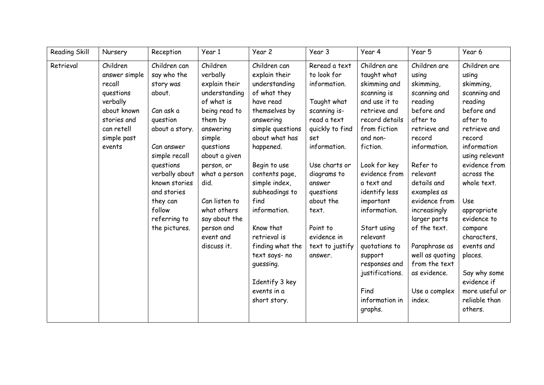| <b>Reading Skill</b> | Nursery                                                                                                                           | Reception                                                                                                                                                                                                                                          | Year 1                                                                                                                                                                                                                                                                                  | Year 2                                                                                                                                                                                                                                                                                                                                                                                    | Year 3                                                                                                                                                                                                                                                                     | Year 4                                                                                                                                                                                                                                                                                                                                                                             | Year 5                                                                                                                                                                                                                                                                                                                                                   | Year 6                                                                                                                                                                                                                                                                                                                                                                |
|----------------------|-----------------------------------------------------------------------------------------------------------------------------------|----------------------------------------------------------------------------------------------------------------------------------------------------------------------------------------------------------------------------------------------------|-----------------------------------------------------------------------------------------------------------------------------------------------------------------------------------------------------------------------------------------------------------------------------------------|-------------------------------------------------------------------------------------------------------------------------------------------------------------------------------------------------------------------------------------------------------------------------------------------------------------------------------------------------------------------------------------------|----------------------------------------------------------------------------------------------------------------------------------------------------------------------------------------------------------------------------------------------------------------------------|------------------------------------------------------------------------------------------------------------------------------------------------------------------------------------------------------------------------------------------------------------------------------------------------------------------------------------------------------------------------------------|----------------------------------------------------------------------------------------------------------------------------------------------------------------------------------------------------------------------------------------------------------------------------------------------------------------------------------------------------------|-----------------------------------------------------------------------------------------------------------------------------------------------------------------------------------------------------------------------------------------------------------------------------------------------------------------------------------------------------------------------|
| Retrieval            | Children<br>answer simple<br>recall<br>questions<br>verbally<br>about known<br>stories and<br>can retell<br>simple past<br>events | Children can<br>say who the<br>story was<br>about.<br>Can ask a<br>question<br>about a story.<br>Can answer<br>simple recall<br>questions<br>verbally about<br>known stories<br>and stories<br>they can<br>follow<br>referring to<br>the pictures. | Children<br>verbally<br>explain their<br>understanding<br>of what is<br>being read to<br>them by<br>answering<br>simple<br>questions<br>about a given<br>person, or<br>what a person<br>did.<br>Can listen to<br>what others<br>say about the<br>person and<br>event and<br>discuss it. | Children can<br>explain their<br>understanding<br>of what they<br>have read<br>themselves by<br>answering<br>simple questions<br>about what has<br>happened.<br>Begin to use<br>contents page,<br>simple index,<br>subheadings to<br>find<br>information.<br>Know that<br>retrieval is<br>finding what the<br>text says- no<br>guessing.<br>Identify 3 key<br>events in a<br>short story. | Reread a text<br>to look for<br>information.<br>Taught what<br>scanning is-<br>read a text<br>quickly to find<br>set<br>information.<br>Use charts or<br>diagrams to<br>answer<br>questions<br>about the<br>text.<br>Point to<br>evidence in<br>text to justify<br>answer. | Children are<br>taught what<br>skimming and<br>scanning is<br>and use it to<br>retrieve and<br>record details<br>from fiction<br>and non-<br>fiction.<br>Look for key<br>evidence from<br>a text and<br>identify less<br>important<br>information.<br>Start using<br>relevant<br>quotations to<br>support<br>responses and<br>justifications.<br>Find<br>information in<br>graphs. | Children are<br>using<br>skimming,<br>scanning and<br>reading<br>before and<br>after to<br>retrieve and<br>record<br>information.<br>Refer to<br>relevant<br>details and<br>examples as<br>evidence from<br>increasingly<br>larger parts<br>of the text.<br>Paraphrase as<br>well as quoting<br>from the text<br>as evidence.<br>Use a complex<br>index. | Children are<br>using<br>skimming,<br>scanning and<br>reading<br>before and<br>after to<br>retrieve and<br>record<br>information<br>using relevant<br>evidence from<br>across the<br>whole text.<br>Use<br>appropriate<br>evidence to<br>compare<br>characters,<br>events and<br>places.<br>Say why some<br>evidence if<br>more useful or<br>reliable than<br>others. |
|                      |                                                                                                                                   |                                                                                                                                                                                                                                                    |                                                                                                                                                                                                                                                                                         |                                                                                                                                                                                                                                                                                                                                                                                           |                                                                                                                                                                                                                                                                            |                                                                                                                                                                                                                                                                                                                                                                                    |                                                                                                                                                                                                                                                                                                                                                          |                                                                                                                                                                                                                                                                                                                                                                       |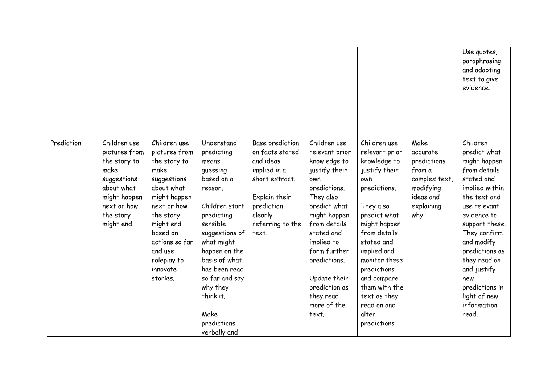|            |                                                                                                                                              |                                                                                                                                                                                                                             |                                                                                                                                                                                                                                                                                         |                                                                                                                                                          |                                                                                                                                                                                                                                                                                       |                                                                                                                                                                                                                                                                                                         |                                                                                                            | Use quotes,<br>paraphrasing<br>and adapting<br>text to give<br>evidence.                                                                                                                                                                                                                                  |
|------------|----------------------------------------------------------------------------------------------------------------------------------------------|-----------------------------------------------------------------------------------------------------------------------------------------------------------------------------------------------------------------------------|-----------------------------------------------------------------------------------------------------------------------------------------------------------------------------------------------------------------------------------------------------------------------------------------|----------------------------------------------------------------------------------------------------------------------------------------------------------|---------------------------------------------------------------------------------------------------------------------------------------------------------------------------------------------------------------------------------------------------------------------------------------|---------------------------------------------------------------------------------------------------------------------------------------------------------------------------------------------------------------------------------------------------------------------------------------------------------|------------------------------------------------------------------------------------------------------------|-----------------------------------------------------------------------------------------------------------------------------------------------------------------------------------------------------------------------------------------------------------------------------------------------------------|
| Prediction | Children use<br>pictures from<br>the story to<br>make<br>suggestions<br>about what<br>might happen<br>next or how<br>the story<br>might end. | Children use<br>pictures from<br>the story to<br>make<br>suggestions<br>about what<br>might happen<br>next or how<br>the story<br>might end<br>based on<br>actions so far<br>and use<br>roleplay to<br>innovate<br>stories. | Understand<br>predicting<br>means<br>guessing<br>based on a<br>reason.<br>Children start<br>predicting<br>sensible<br>suggestions of<br>what might<br>happen on the<br>basis of what<br>has been read<br>so far and say<br>why they<br>think it.<br>Make<br>predictions<br>verbally and | Base prediction<br>on facts stated<br>and ideas<br>implied in a<br>short extract.<br>Explain their<br>prediction<br>clearly<br>referring to the<br>text. | Children use<br>relevant prior<br>knowledge to<br>justify their<br>own<br>predictions.<br>They also<br>predict what<br>might happen<br>from details<br>stated and<br>implied to<br>form further<br>predictions.<br>Update their<br>prediction as<br>they read<br>more of the<br>text. | Children use<br>relevant prior<br>knowledge to<br>justify their<br>own<br>predictions.<br>They also<br>predict what<br>might happen<br>from details<br>stated and<br>implied and<br>monitor these<br>predictions<br>and compare<br>them with the<br>text as they<br>read on and<br>alter<br>predictions | Make<br>accurate<br>predictions<br>from a<br>complex text,<br>modifying<br>ideas and<br>explaining<br>why. | Children<br>predict what<br>might happen<br>from details<br>stated and<br>implied within<br>the text and<br>use relevant<br>evidence to<br>support these.<br>They confirm<br>and modify<br>predictions as<br>they read on<br>and justify<br>new<br>predictions in<br>light of new<br>information<br>read. |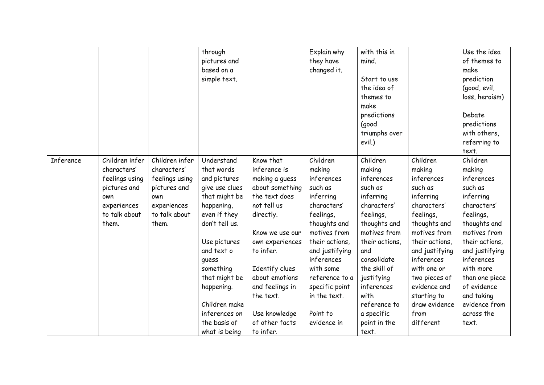|           |                |                | through        |                 | Explain why    | with this in   |                | Use the idea   |
|-----------|----------------|----------------|----------------|-----------------|----------------|----------------|----------------|----------------|
|           |                |                | pictures and   |                 | they have      | mind.          |                | of themes to   |
|           |                |                | based on a     |                 | changed it.    |                |                | make           |
|           |                |                | simple text.   |                 |                | Start to use   |                | prediction     |
|           |                |                |                |                 |                | the idea of    |                | (good, evil,   |
|           |                |                |                |                 |                | themes to      |                | loss, heroism) |
|           |                |                |                |                 |                | make           |                |                |
|           |                |                |                |                 |                | predictions    |                | Debate         |
|           |                |                |                |                 |                | (good          |                | predictions    |
|           |                |                |                |                 |                | triumphs over  |                | with others,   |
|           |                |                |                |                 |                | evil.)         |                | referring to   |
|           |                |                |                |                 |                |                |                | text.          |
| Inference | Children infer | Children infer | Understand     | Know that       | Children       | Children       | Children       | Children       |
|           | characters'    | characters'    | that words     | inference is    | making         | making         | making         | making         |
|           | feelings using | feelings using | and pictures   | making a guess  | inferences     | inferences     | inferences     | inferences     |
|           | pictures and   | pictures and   | give use clues | about something | such as        | such as        | such as        | such as        |
|           | own            | own            | that might be  | the text does   | inferring      | inferring      | inferring      | inferring      |
|           | experiences    | experiences    | happening,     | not tell us     | characters'    | characters'    | characters'    | characters'    |
|           | to talk about  | to talk about  | even if they   | directly.       | feelings,      | feelings,      | feelings,      | feelings,      |
|           | them.          | them.          | don't tell us. |                 | thoughts and   | thoughts and   | thoughts and   | thoughts and   |
|           |                |                |                | Know we use our | motives from   | motives from   | motives from   | motives from   |
|           |                |                | Use pictures   | own experiences | their actions, | their actions, | their actions, | their actions, |
|           |                |                | and text o     | to infer.       | and justifying | and            | and justifying | and justifying |
|           |                |                | quess          |                 | inferences     | consolidate    | inferences     | inferences     |
|           |                |                | something      | Identify clues  | with some      | the skill of   | with one or    | with more      |
|           |                |                | that might be  | about emotions  | reference to a | justifying     | two pieces of  | than one piece |
|           |                |                | happening.     | and feelings in | specific point | inferences     | evidence and   | of evidence    |
|           |                |                |                | the text.       | in the text.   | with           | starting to    | and taking     |
|           |                |                | Children make  |                 |                | reference to   | draw evidence  | evidence from  |
|           |                |                | inferences on  | Use knowledge   | Point to       | a specific     | from           | across the     |
|           |                |                | the basis of   | of other facts  | evidence in    | point in the   | different      | text.          |
|           |                |                | what is being  | to infer.       |                | text.          |                |                |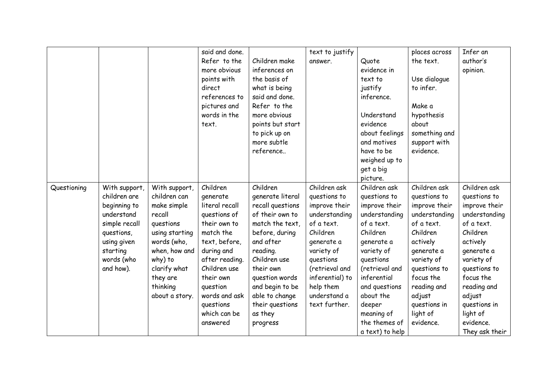|             |                                                                                                                                                  |                                                                                                                                                                                            | said and done.<br>Refer to the<br>more obvious<br>points with<br>direct<br>references to<br>pictures and<br>words in the<br>text.                                                                                                       | Children make<br>inferences on<br>the basis of<br>what is being<br>said and done.<br>Refer to the<br>more obvious<br>points but start<br>to pick up on<br>more subtle<br>reference                                                                              | text to justify<br>answer.                                                                                                                                                                                           | Quote<br>evidence in<br>text to<br>justify<br>inference.<br>Understand<br>evidence<br>about feelings<br>and motives<br>have to be<br>weighed up to<br>get a big<br>picture.                                                                                  | places across<br>the text.<br>Use dialogue<br>to infer.<br>Make a<br>hypothesis<br>about<br>something and<br>support with<br>evidence.                                                                                          | Infer an<br>author's<br>opinion.                                                                                                                                                                                                                  |
|-------------|--------------------------------------------------------------------------------------------------------------------------------------------------|--------------------------------------------------------------------------------------------------------------------------------------------------------------------------------------------|-----------------------------------------------------------------------------------------------------------------------------------------------------------------------------------------------------------------------------------------|-----------------------------------------------------------------------------------------------------------------------------------------------------------------------------------------------------------------------------------------------------------------|----------------------------------------------------------------------------------------------------------------------------------------------------------------------------------------------------------------------|--------------------------------------------------------------------------------------------------------------------------------------------------------------------------------------------------------------------------------------------------------------|---------------------------------------------------------------------------------------------------------------------------------------------------------------------------------------------------------------------------------|---------------------------------------------------------------------------------------------------------------------------------------------------------------------------------------------------------------------------------------------------|
| Questioning | With support,<br>children are<br>beginning to<br>understand<br>simple recall<br>questions,<br>using given<br>starting<br>words (who<br>and how). | With support,<br>children can<br>make simple<br>recall<br>questions<br>using starting<br>words (who,<br>when, how and<br>why) to<br>clarify what<br>they are<br>thinking<br>about a story. | Children<br>generate<br>literal recall<br>questions of<br>their own to<br>match the<br>text, before,<br>during and<br>after reading.<br>Children use<br>their own<br>question<br>words and ask<br>questions<br>which can be<br>answered | Children<br>generate literal<br>recall questions<br>of their own to<br>match the text,<br>before, during<br>and after<br>reading.<br>Children use<br>their own<br>question words<br>and begin to be<br>able to change<br>their questions<br>as they<br>progress | Children ask<br>questions to<br>improve their<br>understanding<br>of a text.<br>Children<br>generate a<br>variety of<br>questions<br>(retrieval and<br>inferential) to<br>help them<br>understand a<br>text further. | Children ask<br>questions to<br>improve their<br>understanding<br>of a text.<br>Children<br>generate a<br>variety of<br>questions<br>(retrieval and<br>inferential<br>and questions<br>about the<br>deeper<br>meaning of<br>the themes of<br>a text) to help | Children ask<br>questions to<br>improve their<br>understanding<br>of a text.<br>Children<br>actively<br>generate a<br>variety of<br>questions to<br>focus the<br>reading and<br>adjust<br>questions in<br>light of<br>evidence. | Children ask<br>questions to<br>improve their<br>understanding<br>of a text.<br>Children<br>actively<br>generate a<br>variety of<br>questions to<br>focus the<br>reading and<br>adjust<br>questions in<br>light of<br>evidence.<br>They ask their |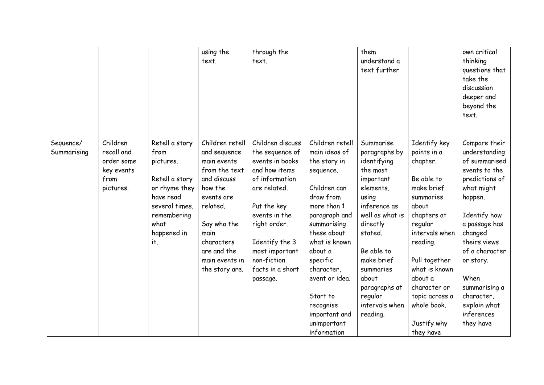|                          |                                                                         |                                                                                                                                                    | using the<br>text.                                                                                                                                                                                          | through the<br>text.                                                                                                                                                                                                                         |                                                                                                                                                                                                                                                                            | them<br>understand a<br>text further                                                                                                                                                                                                                           |                                                                                                                                                                                                                                                 | own critical<br>thinking<br>questions that<br>take the<br>discussion<br>deeper and<br>beyond the<br>text.                                                                                                                                                                   |
|--------------------------|-------------------------------------------------------------------------|----------------------------------------------------------------------------------------------------------------------------------------------------|-------------------------------------------------------------------------------------------------------------------------------------------------------------------------------------------------------------|----------------------------------------------------------------------------------------------------------------------------------------------------------------------------------------------------------------------------------------------|----------------------------------------------------------------------------------------------------------------------------------------------------------------------------------------------------------------------------------------------------------------------------|----------------------------------------------------------------------------------------------------------------------------------------------------------------------------------------------------------------------------------------------------------------|-------------------------------------------------------------------------------------------------------------------------------------------------------------------------------------------------------------------------------------------------|-----------------------------------------------------------------------------------------------------------------------------------------------------------------------------------------------------------------------------------------------------------------------------|
| Sequence/<br>Summarising | Children<br>recall and<br>order some<br>key events<br>from<br>pictures. | Retell a story<br>from<br>pictures.<br>Retell a story<br>or rhyme they<br>have read<br>several times,<br>remembering<br>what<br>happened in<br>it. | Children retell<br>and sequence<br>main events<br>from the text<br>and discuss<br>how the<br>events are<br>related.<br>Say who the<br>main<br>characters<br>are and the<br>main events in<br>the story are. | Children discuss<br>the sequence of<br>events in books<br>and how items<br>of information<br>are related.<br>Put the key<br>events in the<br>right order.<br>Identify the 3<br>most important<br>non-fiction<br>facts in a short<br>passage. | Children retell<br>main ideas of<br>the story in<br>sequence.<br>Children can<br>draw from<br>more than 1<br>paragraph and<br>summarising<br>these about<br>what is known<br>about a<br>specific<br>character,<br>event or idea.<br>Start to<br>recognise<br>important and | Summarise<br>paragraphs by<br>identifying<br>the most<br>important<br>elements,<br>using<br>inference as<br>well as what is<br>directly<br>stated.<br>Be able to<br>make brief<br>summaries<br>about<br>paragraphs at<br>regular<br>intervals when<br>reading. | Identify key<br>points in a<br>chapter.<br>Be able to<br>make brief<br>summaries<br>about<br>chapters at<br>regular<br>intervals when<br>reading.<br>Pull together<br>what is known<br>about a<br>character or<br>topic across a<br>whole book. | Compare their<br>understanding<br>of summarised<br>events to the<br>predictions of<br>what might<br>happen.<br>Identify how<br>a passage has<br>changed<br>theirs views<br>of a character<br>or story.<br>When<br>summarising a<br>character,<br>explain what<br>inferences |
|                          |                                                                         |                                                                                                                                                    |                                                                                                                                                                                                             |                                                                                                                                                                                                                                              | unimportant<br>information                                                                                                                                                                                                                                                 |                                                                                                                                                                                                                                                                | Justify why<br>they have                                                                                                                                                                                                                        | they have                                                                                                                                                                                                                                                                   |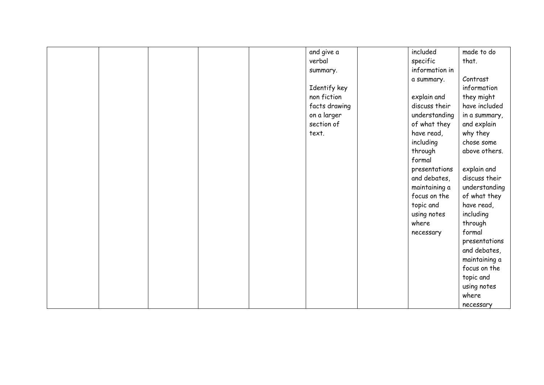|  |  | and give a    | included       | made to do    |
|--|--|---------------|----------------|---------------|
|  |  | verbal        | specific       | that.         |
|  |  | summary.      | information in |               |
|  |  |               | a summary.     | Contrast      |
|  |  | Identify key  |                | information   |
|  |  | non fiction   | explain and    | they might    |
|  |  | facts drawing | discuss their  | have included |
|  |  | on a larger   | understanding  | in a summary, |
|  |  | section of    | of what they   | and explain   |
|  |  | text.         | have read,     | why they      |
|  |  |               | including      | chose some    |
|  |  |               | through        | above others. |
|  |  |               | formal         |               |
|  |  |               | presentations  | explain and   |
|  |  |               | and debates,   | discuss their |
|  |  |               | maintaining a  | understanding |
|  |  |               | focus on the   | of what they  |
|  |  |               | topic and      | have read,    |
|  |  |               | using notes    | including     |
|  |  |               | where          | through       |
|  |  |               | necessary      | formal        |
|  |  |               |                | presentations |
|  |  |               |                | and debates,  |
|  |  |               |                | maintaining a |
|  |  |               |                | focus on the  |
|  |  |               |                | topic and     |
|  |  |               |                | using notes   |
|  |  |               |                | where         |
|  |  |               |                | necessary     |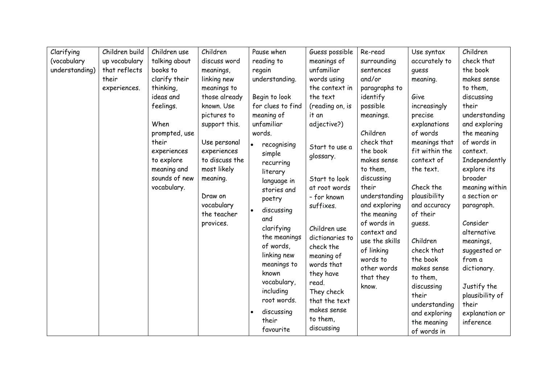| Clarifying     | Children build | Children use  | Children       | Pause when        | Guess possible  | Re-read                 | Use syntax              | Children              |
|----------------|----------------|---------------|----------------|-------------------|-----------------|-------------------------|-------------------------|-----------------------|
| (vocabulary    | up vocabulary  | talking about | discuss word   | reading to        | meanings of     | surrounding             | accurately to           | check that            |
| understanding) | that reflects  | books to      | meanings,      | regain            | unfamiliar      | sentences               | quess                   | the book              |
|                | their          | clarify their | linking new    | understanding.    | words using     | and/or                  | meaning.                | makes sense           |
|                | experiences.   | thinking,     | meanings to    |                   | the context in  | paragraphs to           |                         | to them,              |
|                |                | ideas and     | those already  | Begin to look     | the text        | identify                | Give                    | discussing            |
|                |                | feelings.     | known. Use     | for clues to find | (reading on, is | possible                | increasingly            | their                 |
|                |                |               | pictures to    | meaning of        | it an           | meanings.               | precise                 | understanding         |
|                |                | When          | support this.  | unfamiliar        | adjective?)     |                         | explanations            | and exploring         |
|                |                | prompted, use |                | words.            |                 | Children                | of words                | the meaning           |
|                |                | their         | Use personal   | recognising       | Start to use a  | check that              | meanings that           | of words in           |
|                |                | experiences   | experiences    | simple            | glossary.       | the book                | fit within the          | context.              |
|                |                | to explore    | to discuss the | recurring         |                 | makes sense             | context of              | Independently         |
|                |                | meaning and   | most likely    | literary          |                 | to them,                | the text.               | explore its           |
|                |                | sounds of new | meaning.       | language in       | Start to look   | discussing              |                         | broader               |
|                |                | vocabulary.   |                | stories and       | at root words   | their                   | Check the               | meaning within        |
|                |                |               | Draw on        | poetry            | - for known     | understanding           | plausibility            | a section or          |
|                |                |               | vocabulary     | discussing        | suffixes.       | and exploring           | and accuracy            | paragraph.            |
|                |                |               | the teacher    | and               |                 | the meaning             | of their                |                       |
|                |                |               | provices.      | clarifying        | Children use    | of words in             | guess.                  | Consider              |
|                |                |               |                | the meanings      | dictionaries to | context and             |                         | alternative           |
|                |                |               |                | of words,         | check the       | use the skills          | Children                | meanings,             |
|                |                |               |                | linking new       | meaning of      | of linking              | check that              | suggested or          |
|                |                |               |                | meanings to       | words that      | words to<br>other words | the book<br>makes sense | from a<br>dictionary. |
|                |                |               |                | known             | they have       | that they               | to them,                |                       |
|                |                |               |                | vocabulary,       | read.           | know.                   | discussing              | Justify the           |
|                |                |               |                | including         | They check      |                         | their                   | plausibility of       |
|                |                |               |                | root words.       | that the text   |                         | understanding           | their                 |
|                |                |               |                | discussing        | makes sense     |                         | and exploring           | explanation or        |
|                |                |               |                | their             | to them,        |                         | the meaning             | inference             |
|                |                |               |                | favourite         | discussing      |                         | of words in             |                       |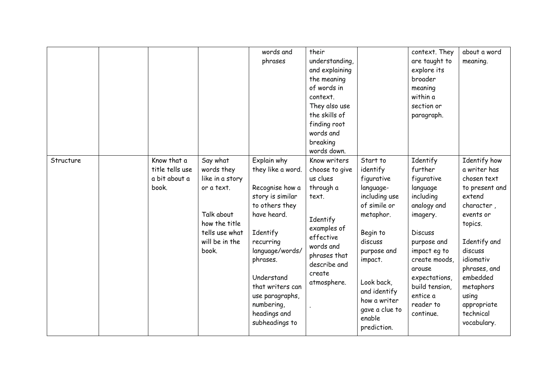|           |                                                          |                                                                                                                                     | words and<br>phrases                                                                                                                                                                                                                                                  | their<br>understanding,<br>and explaining<br>the meaning<br>of words in<br>context.<br>They also use<br>the skills of<br>finding root<br>words and<br>breaking<br>words down.  |                                                                                                                                                                                                                                         | context. They<br>are taught to<br>explore its<br>broader<br>meaning<br>within a<br>section or<br>paragraph.                                                                                                                                | about a word<br>meaning.                                                                                                                                                                                                                           |
|-----------|----------------------------------------------------------|-------------------------------------------------------------------------------------------------------------------------------------|-----------------------------------------------------------------------------------------------------------------------------------------------------------------------------------------------------------------------------------------------------------------------|--------------------------------------------------------------------------------------------------------------------------------------------------------------------------------|-----------------------------------------------------------------------------------------------------------------------------------------------------------------------------------------------------------------------------------------|--------------------------------------------------------------------------------------------------------------------------------------------------------------------------------------------------------------------------------------------|----------------------------------------------------------------------------------------------------------------------------------------------------------------------------------------------------------------------------------------------------|
| Structure | Know that a<br>title tells use<br>a bit about a<br>book. | Say what<br>words they<br>like in a story<br>or a text.<br>Talk about<br>how the title<br>tells use what<br>will be in the<br>book. | Explain why<br>they like a word.<br>Recognise how a<br>story is similar<br>to others they<br>have heard.<br>Identify<br>recurring<br>language/words/<br>phrases.<br>Understand<br>that writers can<br>use paragraphs,<br>numbering,<br>headings and<br>subheadings to | Know writers<br>choose to give<br>us clues<br>through a<br>text.<br>Identify<br>examples of<br>effective<br>words and<br>phrases that<br>describe and<br>create<br>atmosphere. | Start to<br>identify<br>figurative<br>language-<br>including use<br>of simile or<br>metaphor.<br>Begin to<br>discuss<br>purpose and<br>impact.<br>Look back,<br>and identify<br>how a writer<br>gave a clue to<br>enable<br>prediction. | Identify<br>further<br>figurative<br>language<br>including<br>analogy and<br>imagery.<br><b>Discuss</b><br>purpose and<br>impact eg to<br>create moods,<br>arouse<br>expectations,<br>build tension,<br>entice a<br>reader to<br>continue. | Identify how<br>a writer has<br>chosen text<br>to present and<br>extend<br>character,<br>events or<br>topics.<br>Identify and<br>discuss<br>idiomativ<br>phrases, and<br>embedded<br>metaphors<br>using<br>appropriate<br>technical<br>vocabulary. |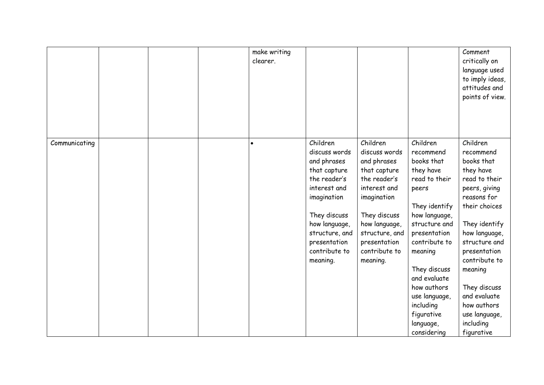|               |  | make writing<br>clearer. |                                                                                                                                                                                                         |                                                                                                                                                                                                         |                                                                                                                                                                                                                                                                                                  | Comment<br>critically on<br>language used<br>to imply ideas,<br>attitudes and<br>points of view.                                                                                                                                                                                                             |
|---------------|--|--------------------------|---------------------------------------------------------------------------------------------------------------------------------------------------------------------------------------------------------|---------------------------------------------------------------------------------------------------------------------------------------------------------------------------------------------------------|--------------------------------------------------------------------------------------------------------------------------------------------------------------------------------------------------------------------------------------------------------------------------------------------------|--------------------------------------------------------------------------------------------------------------------------------------------------------------------------------------------------------------------------------------------------------------------------------------------------------------|
| Communicating |  | $\bullet$                | Children<br>discuss words<br>and phrases<br>that capture<br>the reader's<br>interest and<br>imagination<br>They discuss<br>how language,<br>structure, and<br>presentation<br>contribute to<br>meaning. | Children<br>discuss words<br>and phrases<br>that capture<br>the reader's<br>interest and<br>imagination<br>They discuss<br>how language,<br>structure, and<br>presentation<br>contribute to<br>meaning. | Children<br>recommend<br>books that<br>they have<br>read to their<br>peers<br>They identify<br>how language,<br>structure and<br>presentation<br>contribute to<br>meaning<br>They discuss<br>and evaluate<br>how authors<br>use language,<br>including<br>figurative<br>language,<br>considering | Children<br>recommend<br>books that<br>they have<br>read to their<br>peers, giving<br>reasons for<br>their choices<br>They identify<br>how language,<br>structure and<br>presentation<br>contribute to<br>meaning<br>They discuss<br>and evaluate<br>how authors<br>use language,<br>including<br>figurative |